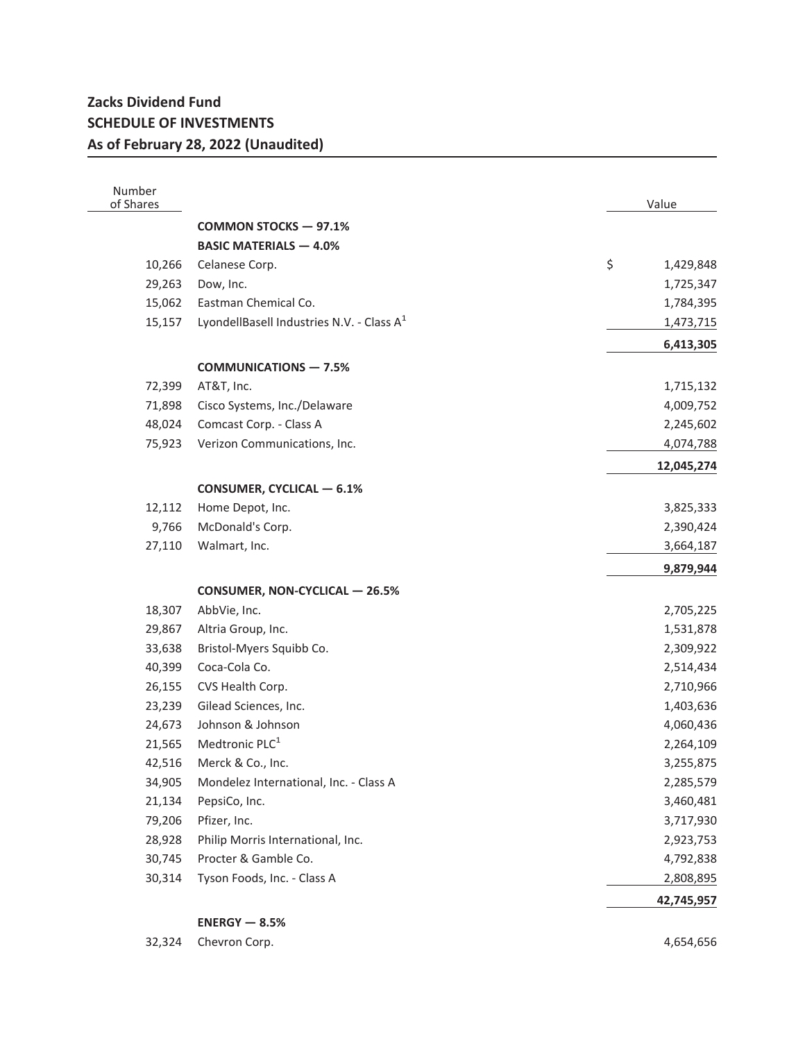## **Zacks Dividend Fund SCHEDULE OF INVESTMENTS As of February 28, 2022 (Unaudited)**

| Number<br>of Shares |                                                       | Value           |
|---------------------|-------------------------------------------------------|-----------------|
|                     | <b>COMMON STOCKS - 97.1%</b>                          |                 |
|                     | <b>BASIC MATERIALS - 4.0%</b>                         |                 |
| 10,266              | Celanese Corp.                                        | \$<br>1,429,848 |
| 29,263              | Dow, Inc.                                             | 1,725,347       |
| 15,062              | Eastman Chemical Co.                                  | 1,784,395       |
| 15,157              | LyondellBasell Industries N.V. - Class A <sup>1</sup> | 1,473,715       |
|                     |                                                       | 6,413,305       |
|                     | <b>COMMUNICATIONS - 7.5%</b>                          |                 |
| 72,399              | AT&T, Inc.                                            | 1,715,132       |
| 71,898              | Cisco Systems, Inc./Delaware                          | 4,009,752       |
| 48,024              | Comcast Corp. - Class A                               | 2,245,602       |
| 75,923              | Verizon Communications, Inc.                          | 4,074,788       |
|                     |                                                       | 12,045,274      |
|                     | <b>CONSUMER, CYCLICAL - 6.1%</b>                      |                 |
| 12,112              | Home Depot, Inc.                                      | 3,825,333       |
| 9,766               | McDonald's Corp.                                      | 2,390,424       |
| 27,110              | Walmart, Inc.                                         | 3,664,187       |
|                     |                                                       | 9,879,944       |
|                     | <b>CONSUMER, NON-CYCLICAL - 26.5%</b>                 |                 |
| 18,307              | AbbVie, Inc.                                          | 2,705,225       |
| 29,867              | Altria Group, Inc.                                    | 1,531,878       |
| 33,638              | Bristol-Myers Squibb Co.                              | 2,309,922       |
| 40,399              | Coca-Cola Co.                                         | 2,514,434       |
| 26,155              | CVS Health Corp.                                      | 2,710,966       |
| 23,239              | Gilead Sciences, Inc.                                 | 1,403,636       |
| 24,673              | Johnson & Johnson                                     | 4,060,436       |
| 21,565              | Medtronic PLC <sup>1</sup>                            | 2,264,109       |
| 42,516              | Merck & Co., Inc.                                     | 3,255,875       |
| 34,905              | Mondelez International, Inc. - Class A                | 2,285,579       |
| 21,134              | PepsiCo, Inc.                                         | 3,460,481       |
| 79,206              | Pfizer, Inc.                                          | 3,717,930       |
| 28,928              | Philip Morris International, Inc.                     | 2,923,753       |
| 30,745              | Procter & Gamble Co.                                  | 4,792,838       |
| 30,314              | Tyson Foods, Inc. - Class A                           | 2,808,895       |
|                     |                                                       | 42,745,957      |

## **ENERGY — 8.5%**

| 32,324 Chevron Corp. | 4,654,656 |
|----------------------|-----------|
|                      |           |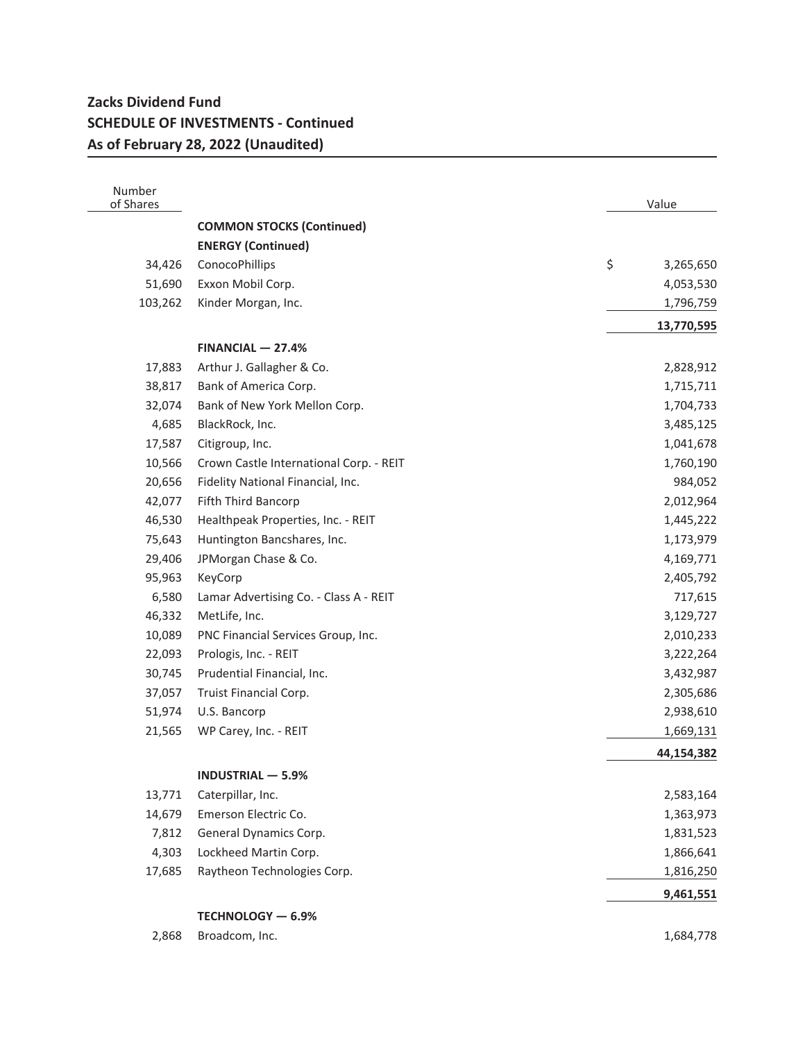## **Zacks Dividend Fund SCHEDULE OF INVESTMENTS - Continued As of February 28, 2022 (Unaudited)**

| Number<br>of Shares |                                         | Value           |
|---------------------|-----------------------------------------|-----------------|
|                     | <b>COMMON STOCKS (Continued)</b>        |                 |
|                     | <b>ENERGY (Continued)</b>               |                 |
| 34,426              | ConocoPhillips                          | \$<br>3,265,650 |
| 51,690              | Exxon Mobil Corp.                       | 4,053,530       |
| 103,262             | Kinder Morgan, Inc.                     | 1,796,759       |
|                     |                                         | 13,770,595      |
|                     | $FINANCIAL - 27.4%$                     |                 |
| 17,883              | Arthur J. Gallagher & Co.               | 2,828,912       |
| 38,817              | Bank of America Corp.                   | 1,715,711       |
| 32,074              | Bank of New York Mellon Corp.           | 1,704,733       |
| 4,685               | BlackRock, Inc.                         | 3,485,125       |
| 17,587              | Citigroup, Inc.                         | 1,041,678       |
| 10,566              | Crown Castle International Corp. - REIT | 1,760,190       |
| 20,656              | Fidelity National Financial, Inc.       | 984,052         |
| 42,077              | Fifth Third Bancorp                     | 2,012,964       |
| 46,530              | Healthpeak Properties, Inc. - REIT      | 1,445,222       |
| 75,643              | Huntington Bancshares, Inc.             | 1,173,979       |
| 29,406              | JPMorgan Chase & Co.                    | 4,169,771       |
| 95,963              | KeyCorp                                 | 2,405,792       |
| 6,580               | Lamar Advertising Co. - Class A - REIT  | 717,615         |
| 46,332              | MetLife, Inc.                           | 3,129,727       |
| 10,089              | PNC Financial Services Group, Inc.      | 2,010,233       |
| 22,093              | Prologis, Inc. - REIT                   | 3,222,264       |
| 30,745              | Prudential Financial, Inc.              | 3,432,987       |
| 37,057              | Truist Financial Corp.                  | 2,305,686       |
| 51,974              | U.S. Bancorp                            | 2,938,610       |
| 21,565              | WP Carey, Inc. - REIT                   | 1,669,131       |
|                     |                                         | 44,154,382      |
|                     | <b>INDUSTRIAL -</b><br>5.9%             |                 |
| 13,771              | Caterpillar, Inc.                       | 2,583,164       |
| 14,679              | Emerson Electric Co.                    | 1,363,973       |
| 7,812               | General Dynamics Corp.                  | 1,831,523       |
| 4,303               | Lockheed Martin Corp.                   | 1,866,641       |
| 17,685              | Raytheon Technologies Corp.             | 1,816,250       |
|                     |                                         | 9,461,551       |
|                     | TECHNOLOGY - 6.9%                       |                 |
| 2,868               | Broadcom, Inc.                          | 1,684,778       |
|                     |                                         |                 |